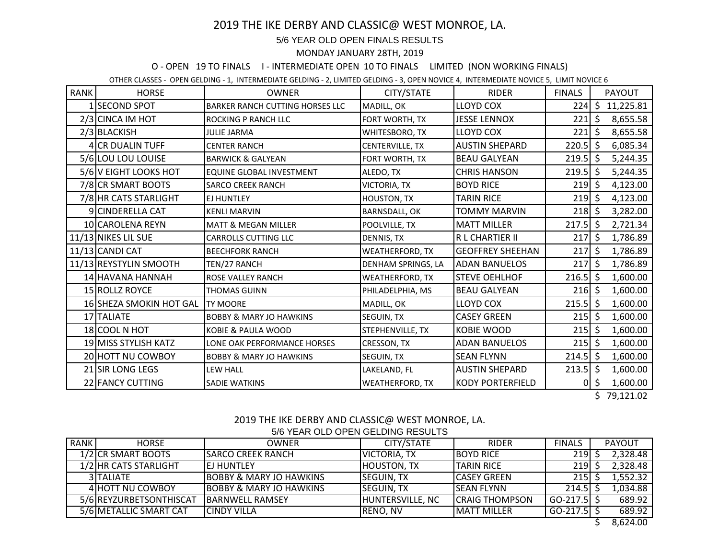# 2019 THE IKE DERBY AND CLASSIC@ WEST MONROE, LA.

### 5/6 YEAR OLD OPEN FINALS RESULTS

#### MONDAY JANUARY 28TH, 2019

## O - OPEN 19 TO FINALS I - INTERMEDIATE OPEN 10 TO FINALS LIMITED (NON WORKING FINALS)

OTHER CLASSES - OPEN GELDING - 1, INTERMEDIATE GELDING - 2, LIMITED GELDING - 3, OPEN NOVICE 4, INTERMEDIATE NOVICE 5, LIMIT NOVICE 6

| <b>RANK</b> | <b>HORSE</b>            | <b>OWNER</b>                       | CITY/STATE                | <b>RIDER</b>            | <b>FINALS</b>     |    | PAYOUT    |
|-------------|-------------------------|------------------------------------|---------------------------|-------------------------|-------------------|----|-----------|
|             | SECOND SPOT             | BARKER RANCH CUTTING HORSES LLC    | MADILL, OK                | <b>LLOYD COX</b>        | 224               | Ś. | 11,225.81 |
|             | 2/3 CINCA IM HOT        | <b>ROCKING P RANCH LLC</b>         | FORT WORTH, TX            | <b>JESSE LENNOX</b>     | $221$ \$          |    | 8,655.58  |
|             | 2/3 BLACKISH            | <b>JULIE JARMA</b>                 | WHITESBORO, TX            | <b>LLOYD COX</b>        | $221$ \$          |    | 8,655.58  |
|             | 4 CR DUALIN TUFF        | <b>CENTER RANCH</b>                | CENTERVILLE, TX           | <b>AUSTIN SHEPARD</b>   | $220.5$ \$        |    | 6,085.34  |
|             | 5/6 LOU LOU LOUISE      | <b>BARWICK &amp; GALYEAN</b>       | FORT WORTH, TX            | <b>BEAU GALYEAN</b>     | $219.5$ \$        |    | 5,244.35  |
|             | 5/6 V EIGHT LOOKS HOT   | EQUINE GLOBAL INVESTMENT           | ALEDO, TX                 | <b>CHRIS HANSON</b>     | $219.5$ \$        |    | 5,244.35  |
|             | 7/8 CR SMART BOOTS      | <b>SARCO CREEK RANCH</b>           | <b>VICTORIA, TX</b>       | <b>BOYD RICE</b>        | $219 \mid 5$      |    | 4,123.00  |
|             | 7/8 HR CATS STARLIGHT   | <b>EJ HUNTLEY</b>                  | <b>HOUSTON, TX</b>        | <b>TARIN RICE</b>       | $219 \mid 5$      |    | 4,123.00  |
|             | 9 CINDERELLA CAT        | <b>KENLI MARVIN</b>                | <b>BARNSDALL, OK</b>      | TOMMY MARVIN            | $218 \mid 5$      |    | 3,282.00  |
|             | 10 CAROLENA REYN        | <b>MATT &amp; MEGAN MILLER</b>     | POOLVILLE, TX             | <b>MATT MILLER</b>      | $217.5$ \$        |    | 2,721.34  |
|             | 11/13 NIKES LIL SUE     | <b>CARROLLS CUTTING LLC</b>        | DENNIS, TX                | R L CHARTIER II         | $217 \,$ \$       |    | 1,786.89  |
|             | 11/13 CANDI CAT         | <b>BEECHFORK RANCH</b>             | <b>WEATHERFORD, TX</b>    | <b>GEOFFREY SHEEHAN</b> | $217 \,$ \$       |    | 1,786.89  |
|             | 11/13 REYSTYLIN SMOOTH  | TEN/27 RANCH                       | <b>DENHAM SPRINGS, LA</b> | <b>ADAN BANUELOS</b>    | $217 \,$ \$       |    | 1,786.89  |
|             | 14 HAVANA HANNAH        | <b>ROSE VALLEY RANCH</b>           | <b>WEATHERFORD, TX</b>    | <b>STEVE OEHLHOF</b>    | $216.5$ \$        |    | 1,600.00  |
|             | 15 ROLLZ ROYCE          | <b>THOMAS GUINN</b>                | PHILADELPHIA, MS          | <b>BEAU GALYEAN</b>     | $216 \div$        |    | 1,600.00  |
|             | 16 SHEZA SMOKIN HOT GAL | <b>ITY MOORE</b>                   | MADILL, OK                | <b>LLOYD COX</b>        | $215.5$ \$        |    | 1,600.00  |
|             | 17 TALIATE              | <b>BOBBY &amp; MARY JO HAWKINS</b> | SEGUIN, TX                | <b>CASEY GREEN</b>      | $215 \mid 5$      |    | 1,600.00  |
|             | 18 COOL N HOT           | KOBIE & PAULA WOOD                 | STEPHENVILLE, TX          | <b>KOBIE WOOD</b>       | $215 \mid 5$      |    | 1,600.00  |
|             | 19 MISS STYLISH KATZ    | LONE OAK PERFORMANCE HORSES        | CRESSON, TX               | <b>ADAN BANUELOS</b>    | $215 \frac{1}{2}$ |    | 1,600.00  |
|             | 20 HOTT NU COWBOY       | <b>BOBBY &amp; MARY JO HAWKINS</b> | SEGUIN, TX                | <b>SEAN FLYNN</b>       | $214.5$ \$        |    | 1,600.00  |
|             | 21 SIR LONG LEGS        | LEW HALL                           | LAKELAND, FL              | <b>AUSTIN SHEPARD</b>   | $213.5$ \$        |    | 1,600.00  |
|             | 22 FANCY CUTTING        | <b>SADIE WATKINS</b>               | <b>WEATHERFORD, TX</b>    | <b>KODY PORTERFIELD</b> | $\overline{0}$    |    | 1,600.00  |

 $$79,121.02$ 

| 2019 THE IKE DERBY AND CLASSIC@ WEST MONROE, LA. |
|--------------------------------------------------|
| 5/6 YEAR OLD OPEN GELDING RESULTS                |

| <b>RANK</b> | <b>HORSE</b>            | <b>OWNER</b>                       | <b>CITY/STATE</b>       | <b>RIDER</b>           | <b>FINALS</b> |  | <b>PAYOUT</b> |  |
|-------------|-------------------------|------------------------------------|-------------------------|------------------------|---------------|--|---------------|--|
|             | 1/2 CR SMART BOOTS      | ISARCO CREEK RANCH                 | VICTORIA, TX            | <b>BOYD RICE</b>       | 219           |  | 2,328.48      |  |
|             | 1/2 HR CATS STARLIGHT   | <b>IEJ HUNTLEY</b>                 | <b>HOUSTON, TX</b>      | <b>TARIN RICE</b>      | 219           |  | 2,328.48      |  |
|             | 3 TALIATE               | <b>BOBBY &amp; MARY JO HAWKINS</b> | <b>SEGUIN, TX</b>       | <b>ICASEY GREEN</b>    | 215           |  | 1,552.32      |  |
|             | 4 HOTT NU COWBOY        | <b>BOBBY &amp; MARY JO HAWKINS</b> | <b>SEGUIN, TX</b>       | <b>ISEAN FLYNN</b>     | 214.5L        |  | 1,034.88      |  |
|             | 5/6 REYZURBETSONTHISCAT | <b>IBARNWELL RAMSEY</b>            | <b>HUNTERSVILLE, NC</b> | <b>ICRAIG THOMPSON</b> | GO-217.5 S    |  | 689.92        |  |
|             | 5/6 METALLIC SMART CAT  | <b>CINDY VILLA</b>                 | RENO, NV                | <b>MATT MILLER</b>     | $GO-217.5$    |  | 689.92        |  |
|             |                         |                                    |                         |                        |               |  | 0.021.00      |  |

\$ 8,624.00